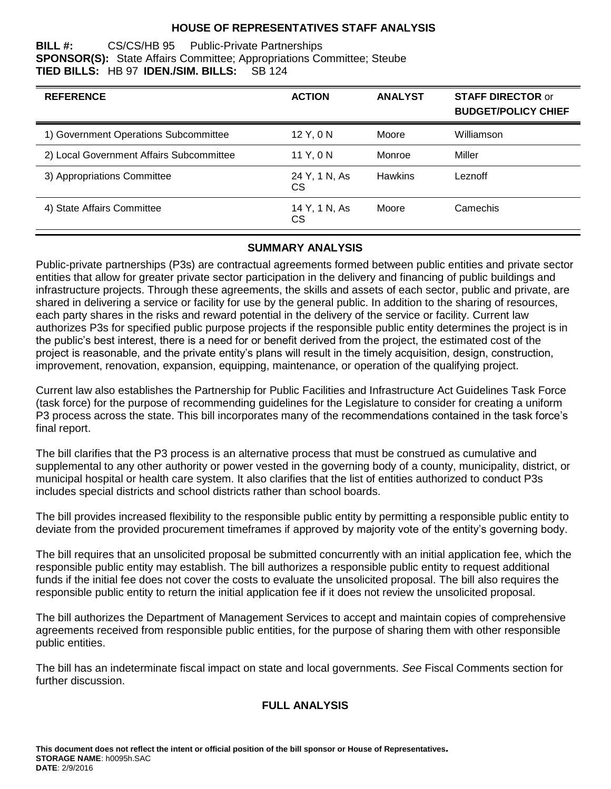### **HOUSE OF REPRESENTATIVES STAFF ANALYSIS**

#### **BILL #:** CS/CS/HB 95 Public-Private Partnerships **SPONSOR(S):** State Affairs Committee; Appropriations Committee; Steube **TIED BILLS:** HB 97 **IDEN./SIM. BILLS:** SB 124

| <b>REFERENCE</b>                         | <b>ACTION</b>       | <b>ANALYST</b> | <b>STAFF DIRECTOR or</b><br><b>BUDGET/POLICY CHIEF</b> |
|------------------------------------------|---------------------|----------------|--------------------------------------------------------|
| 1) Government Operations Subcommittee    | 12 Y, 0 N           | Moore          | Williamson                                             |
| 2) Local Government Affairs Subcommittee | 11 Y, 0 N           | Monroe         | Miller                                                 |
| 3) Appropriations Committee              | 24 Y, 1 N, As<br>CS | <b>Hawkins</b> | Leznoff                                                |
| 4) State Affairs Committee               | 14 Y, 1 N, As<br>СS | Moore          | Camechis                                               |

### **SUMMARY ANALYSIS**

Public-private partnerships (P3s) are contractual agreements formed between public entities and private sector entities that allow for greater private sector participation in the delivery and financing of public buildings and infrastructure projects. Through these agreements, the skills and assets of each sector, public and private, are shared in delivering a service or facility for use by the general public. In addition to the sharing of resources, each party shares in the risks and reward potential in the delivery of the service or facility. Current law authorizes P3s for specified public purpose projects if the responsible public entity determines the project is in the public's best interest, there is a need for or benefit derived from the project, the estimated cost of the project is reasonable, and the private entity's plans will result in the timely acquisition, design, construction, improvement, renovation, expansion, equipping, maintenance, or operation of the qualifying project.

Current law also establishes the Partnership for Public Facilities and Infrastructure Act Guidelines Task Force (task force) for the purpose of recommending guidelines for the Legislature to consider for creating a uniform P3 process across the state. This bill incorporates many of the recommendations contained in the task force's final report.

The bill clarifies that the P3 process is an alternative process that must be construed as cumulative and supplemental to any other authority or power vested in the governing body of a county, municipality, district, or municipal hospital or health care system. It also clarifies that the list of entities authorized to conduct P3s includes special districts and school districts rather than school boards.

The bill provides increased flexibility to the responsible public entity by permitting a responsible public entity to deviate from the provided procurement timeframes if approved by majority vote of the entity's governing body.

The bill requires that an unsolicited proposal be submitted concurrently with an initial application fee, which the responsible public entity may establish. The bill authorizes a responsible public entity to request additional funds if the initial fee does not cover the costs to evaluate the unsolicited proposal. The bill also requires the responsible public entity to return the initial application fee if it does not review the unsolicited proposal.

The bill authorizes the Department of Management Services to accept and maintain copies of comprehensive agreements received from responsible public entities, for the purpose of sharing them with other responsible public entities.

The bill has an indeterminate fiscal impact on state and local governments. *See* Fiscal Comments section for further discussion.

### **FULL ANALYSIS**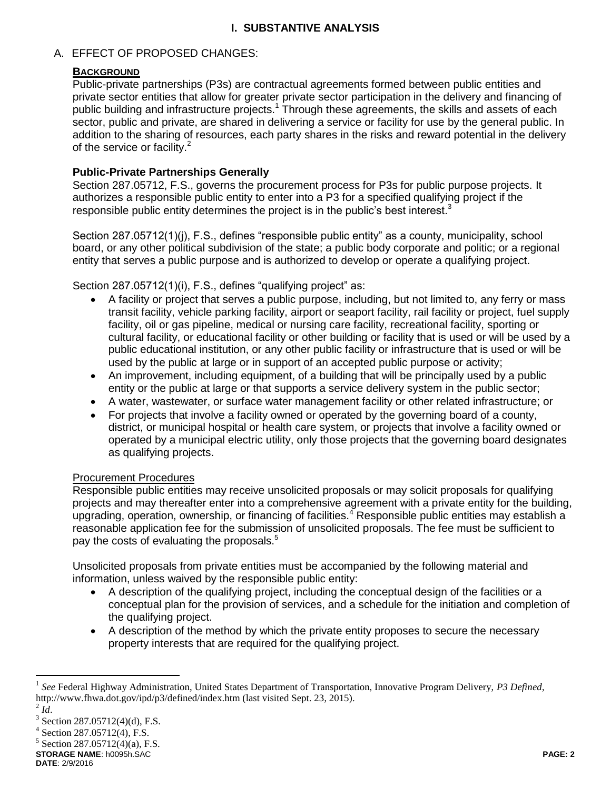### **I. SUBSTANTIVE ANALYSIS**

### A. EFFECT OF PROPOSED CHANGES:

#### **BACKGROUND**

Public-private partnerships (P3s) are contractual agreements formed between public entities and private sector entities that allow for greater private sector participation in the delivery and financing of public building and infrastructure projects.<sup>1</sup> Through these agreements, the skills and assets of each sector, public and private, are shared in delivering a service or facility for use by the general public. In addition to the sharing of resources, each party shares in the risks and reward potential in the delivery of the service or facility.<sup>2</sup>

### **Public-Private Partnerships Generally**

Section 287.05712, F.S., governs the procurement process for P3s for public purpose projects. It authorizes a responsible public entity to enter into a P3 for a specified qualifying project if the responsible public entity determines the project is in the public's best interest.<sup>3</sup>

Section 287.05712(1)(j), F.S., defines "responsible public entity" as a county, municipality, school board, or any other political subdivision of the state; a public body corporate and politic; or a regional entity that serves a public purpose and is authorized to develop or operate a qualifying project.

Section 287.05712(1)(i), F.S., defines "qualifying project" as:

- A facility or project that serves a public purpose, including, but not limited to, any ferry or mass transit facility, vehicle parking facility, airport or seaport facility, rail facility or project, fuel supply facility, oil or gas pipeline, medical or nursing care facility, recreational facility, sporting or cultural facility, or educational facility or other building or facility that is used or will be used by a public educational institution, or any other public facility or infrastructure that is used or will be used by the public at large or in support of an accepted public purpose or activity;
- An improvement, including equipment, of a building that will be principally used by a public entity or the public at large or that supports a service delivery system in the public sector;
- A water, wastewater, or surface water management facility or other related infrastructure; or
- For projects that involve a facility owned or operated by the governing board of a county, district, or municipal hospital or health care system, or projects that involve a facility owned or operated by a municipal electric utility, only those projects that the governing board designates as qualifying projects.

#### Procurement Procedures

Responsible public entities may receive unsolicited proposals or may solicit proposals for qualifying projects and may thereafter enter into a comprehensive agreement with a private entity for the building, upgrading, operation, ownership, or financing of facilities.<sup>4</sup> Responsible public entities may establish a reasonable application fee for the submission of unsolicited proposals. The fee must be sufficient to pay the costs of evaluating the proposals.<sup>5</sup>

Unsolicited proposals from private entities must be accompanied by the following material and information, unless waived by the responsible public entity:

- A description of the qualifying project, including the conceptual design of the facilities or a conceptual plan for the provision of services, and a schedule for the initiation and completion of the qualifying project.
- A description of the method by which the private entity proposes to secure the necessary property interests that are required for the qualifying project.

 $\overline{a}$ 

 $5$  Section 287.05712(4)(a), F.S.

**STORAGE NAME**: h0095h.SAC **PAGE: 2 DATE**: 2/9/2016

<sup>&</sup>lt;sup>1</sup> See Federal Highway Administration, United States Department of Transportation, Innovative Program Delivery, P3 Defined, http://www.fhwa.dot.gov/ipd/p3/defined/index.htm (last visited Sept. 23, 2015).

 $^2$  *Id*. 3

Section 287.05712(4)(d), F.S.

<sup>4</sup> Section 287.05712(4), F.S.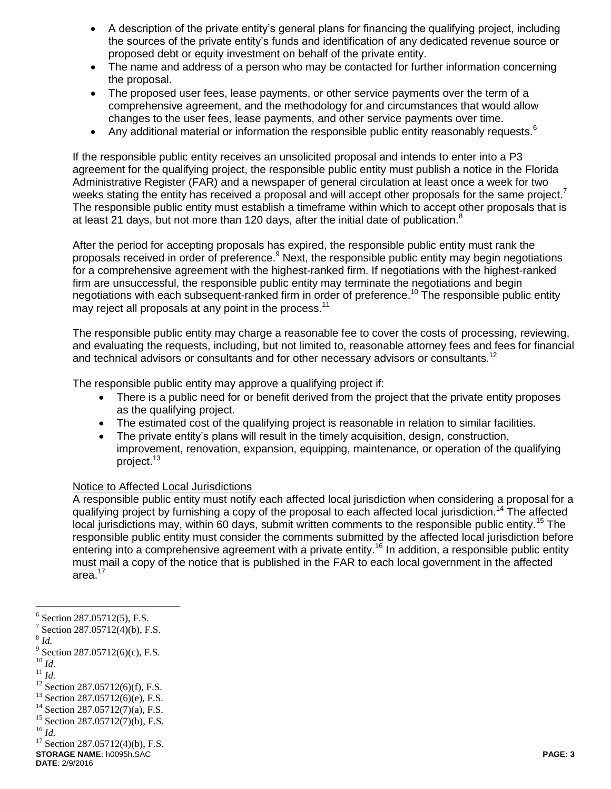- A description of the private entity's general plans for financing the qualifying project, including the sources of the private entity's funds and identification of any dedicated revenue source or proposed debt or equity investment on behalf of the private entity.
- The name and address of a person who may be contacted for further information concerning the proposal.
- The proposed user fees, lease payments, or other service payments over the term of a comprehensive agreement, and the methodology for and circumstances that would allow changes to the user fees, lease payments, and other service payments over time.
- Any additional material or information the responsible public entity reasonably requests.<sup>6</sup>

If the responsible public entity receives an unsolicited proposal and intends to enter into a P3 agreement for the qualifying project, the responsible public entity must publish a notice in the Florida Administrative Register (FAR) and a newspaper of general circulation at least once a week for two weeks stating the entity has received a proposal and will accept other proposals for the same project.<sup>7</sup> The responsible public entity must establish a timeframe within which to accept other proposals that is at least 21 days, but not more than 120 days, after the initial date of publication.<sup>8</sup>

After the period for accepting proposals has expired, the responsible public entity must rank the proposals received in order of preference.<sup>9</sup> Next, the responsible public entity may begin negotiations for a comprehensive agreement with the highest-ranked firm. If negotiations with the highest-ranked firm are unsuccessful, the responsible public entity may terminate the negotiations and begin negotiations with each subsequent-ranked firm in order of preference.<sup>10</sup> The responsible public entity may reject all proposals at any point in the process.<sup>11</sup>

The responsible public entity may charge a reasonable fee to cover the costs of processing, reviewing, and evaluating the requests, including, but not limited to, reasonable attorney fees and fees for financial and technical advisors or consultants and for other necessary advisors or consultants.<sup>12</sup>

The responsible public entity may approve a qualifying project if:

- There is a public need for or benefit derived from the project that the private entity proposes as the qualifying project.
- The estimated cost of the qualifying project is reasonable in relation to similar facilities.
- The private entity's plans will result in the timely acquisition, design, construction, improvement, renovation, expansion, equipping, maintenance, or operation of the qualifying project.<sup>13</sup>

#### Notice to Affected Local Jurisdictions

A responsible public entity must notify each affected local jurisdiction when considering a proposal for a qualifying project by furnishing a copy of the proposal to each affected local jurisdiction.<sup>14</sup> The affected local jurisdictions may, within 60 days, submit written comments to the responsible public entity.<sup>15</sup> The responsible public entity must consider the comments submitted by the affected local jurisdiction before entering into a comprehensive agreement with a private entity.<sup>16</sup> In addition, a responsible public entity must mail a copy of the notice that is published in the FAR to each local government in the affected area.<sup>17</sup>

 $\overline{a}$ 

- <sup>10</sup> *Id.*
- <sup>11</sup> *Id.*

<sup>16</sup> *Id.*

**STORAGE NAME**: h0095h.SAC **PAGE: 3** <sup>17</sup> Section 287.05712(4)(b), F.S.

<sup>6</sup> Section 287.05712(5), F.S.

<sup>&</sup>lt;sup>7</sup> Section 287.05712(4)(b), F.S.

<sup>8</sup> *Id.*

 $9^9$  Section 287.05712(6)(c), F.S.

<sup>12</sup> Section 287.05712(6)(f), F.S.

<sup>13</sup> Section 287.05712(6)(e), F.S.

 $14$  Section 287.05712(7)(a), F.S.

<sup>&</sup>lt;sup>15</sup> Section 287.05712(7)(b), F.S.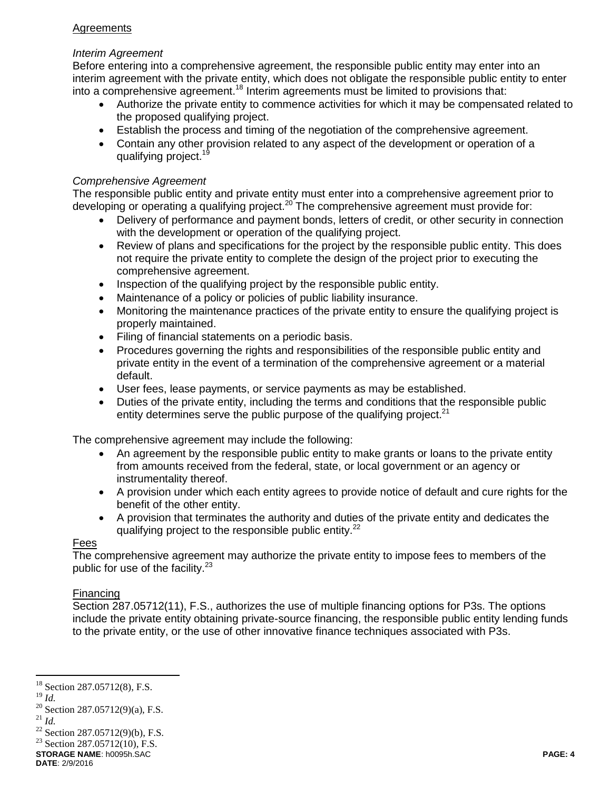### **Agreements**

### *Interim Agreement*

Before entering into a comprehensive agreement, the responsible public entity may enter into an interim agreement with the private entity, which does not obligate the responsible public entity to enter into a comprehensive agreement.<sup>18</sup> Interim agreements must be limited to provisions that:

- Authorize the private entity to commence activities for which it may be compensated related to the proposed qualifying project.
- Establish the process and timing of the negotiation of the comprehensive agreement.
- Contain any other provision related to any aspect of the development or operation of a qualifying project.<sup>19</sup>

### *Comprehensive Agreement*

The responsible public entity and private entity must enter into a comprehensive agreement prior to developing or operating a qualifying project.<sup>20</sup> The comprehensive agreement must provide for:

- Delivery of performance and payment bonds, letters of credit, or other security in connection with the development or operation of the qualifying project.
- Review of plans and specifications for the project by the responsible public entity. This does not require the private entity to complete the design of the project prior to executing the comprehensive agreement.
- Inspection of the qualifying project by the responsible public entity.
- Maintenance of a policy or policies of public liability insurance.
- Monitoring the maintenance practices of the private entity to ensure the qualifying project is properly maintained.
- Filing of financial statements on a periodic basis.
- Procedures governing the rights and responsibilities of the responsible public entity and private entity in the event of a termination of the comprehensive agreement or a material default.
- User fees, lease payments, or service payments as may be established.
- Duties of the private entity, including the terms and conditions that the responsible public entity determines serve the public purpose of the qualifying project. $21$

The comprehensive agreement may include the following:

- An agreement by the responsible public entity to make grants or loans to the private entity from amounts received from the federal, state, or local government or an agency or instrumentality thereof.
- A provision under which each entity agrees to provide notice of default and cure rights for the benefit of the other entity.
- A provision that terminates the authority and duties of the private entity and dedicates the qualifying project to the responsible public entity.<sup>22</sup>

#### Fees

The comprehensive agreement may authorize the private entity to impose fees to members of the public for use of the facility. $23$ 

### Financing

Section 287.05712(11), F.S., authorizes the use of multiple financing options for P3s. The options include the private entity obtaining private-source financing, the responsible public entity lending funds to the private entity, or the use of other innovative finance techniques associated with P3s.

<sup>19</sup> *Id.*

 $18$  Section 287.05712(8), F.S.

 $^{20}$  Section 287.05712(9)(a), F.S.  $^{21}$  *Id.* 

<sup>22</sup> Section 287.05712(9)(b), F.S.  $23$  Section 287.05712(10), F.S.

**STORAGE NAME**: h0095h.SAC **PAGE: 4**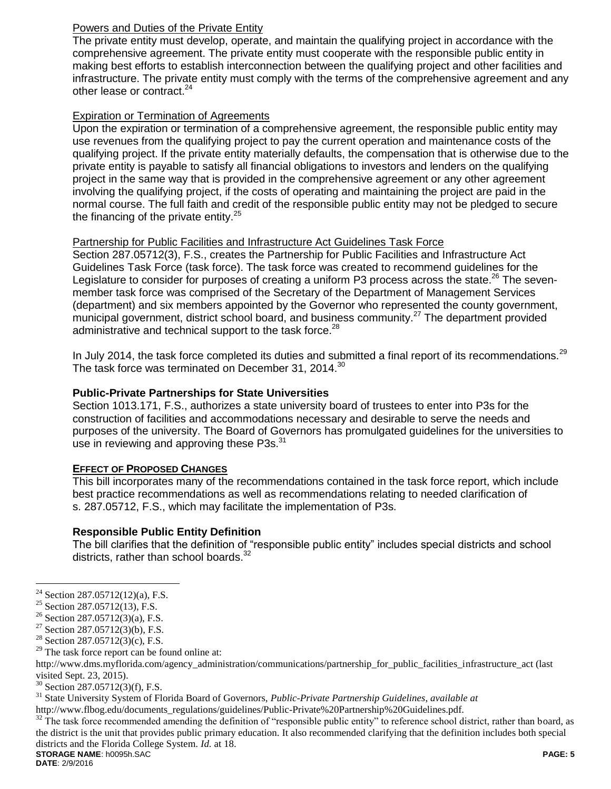### Powers and Duties of the Private Entity

The private entity must develop, operate, and maintain the qualifying project in accordance with the comprehensive agreement. The private entity must cooperate with the responsible public entity in making best efforts to establish interconnection between the qualifying project and other facilities and infrastructure. The private entity must comply with the terms of the comprehensive agreement and any other lease or contract.<sup>24</sup>

### Expiration or Termination of Agreements

Upon the expiration or termination of a comprehensive agreement, the responsible public entity may use revenues from the qualifying project to pay the current operation and maintenance costs of the qualifying project. If the private entity materially defaults, the compensation that is otherwise due to the private entity is payable to satisfy all financial obligations to investors and lenders on the qualifying project in the same way that is provided in the comprehensive agreement or any other agreement involving the qualifying project, if the costs of operating and maintaining the project are paid in the normal course. The full faith and credit of the responsible public entity may not be pledged to secure the financing of the private entity. $25$ 

### Partnership for Public Facilities and Infrastructure Act Guidelines Task Force

Section 287.05712(3), F.S., creates the Partnership for Public Facilities and Infrastructure Act Guidelines Task Force (task force). The task force was created to recommend guidelines for the Legislature to consider for purposes of creating a uniform P3 process across the state.<sup>26</sup> The sevenmember task force was comprised of the Secretary of the Department of Management Services (department) and six members appointed by the Governor who represented the county government, municipal government, district school board, and business community.<sup>27</sup> The department provided administrative and technical support to the task force.<sup>28</sup>

In July 2014, the task force completed its duties and submitted a final report of its recommendations.<sup>29</sup> The task force was terminated on December 31, 2014.<sup>30</sup>

### **Public-Private Partnerships for State Universities**

Section 1013.171, F.S., authorizes a state university board of trustees to enter into P3s for the construction of facilities and accommodations necessary and desirable to serve the needs and purposes of the university. The Board of Governors has promulgated guidelines for the universities to use in reviewing and approving these P3s.<sup>31</sup>

#### **EFFECT OF PROPOSED CHANGES**

This bill incorporates many of the recommendations contained in the task force report, which include best practice recommendations as well as recommendations relating to needed clarification of s. 287.05712, F.S., which may facilitate the implementation of P3s.

### **Responsible Public Entity Definition**

The bill clarifies that the definition of "responsible public entity" includes special districts and school districts, rather than school boards.<sup>32</sup>

<sup>&</sup>lt;sup>24</sup> Section 287.05712(12)(a), F.S.

<sup>25</sup> Section 287.05712(13), F.S.

<sup>&</sup>lt;sup>26</sup> Section 287.05712(3)(a), F.S.

<sup>&</sup>lt;sup>27</sup> Section 287.05712(3)(b), F.S.

<sup>28</sup> Section 287.05712(3)(c), F.S.

<sup>&</sup>lt;sup>29</sup> The task force report can be found online at:

http://www.dms.myflorida.com/agency\_administration/communications/partnership\_for\_public\_facilities\_infrastructure\_act (last visited Sept. 23, 2015).

<sup>30</sup> Section 287.05712(3)(f), F.S.

<sup>31</sup> State University System of Florida Board of Governors, *Public-Private Partnership Guidelines*, *available at*

http://www.flbog.edu/documents\_regulations/guidelines/Public-Private%20Partnership%20Guidelines.pdf.

**STORAGE NAME**: h0095h.SAC **PAGE: 5** <sup>32</sup> The task force recommended amending the definition of "responsible public entity" to reference school district, rather than board, as the district is the unit that provides public primary education. It also recommended clarifying that the definition includes both special districts and the Florida College System. *Id.* at 18.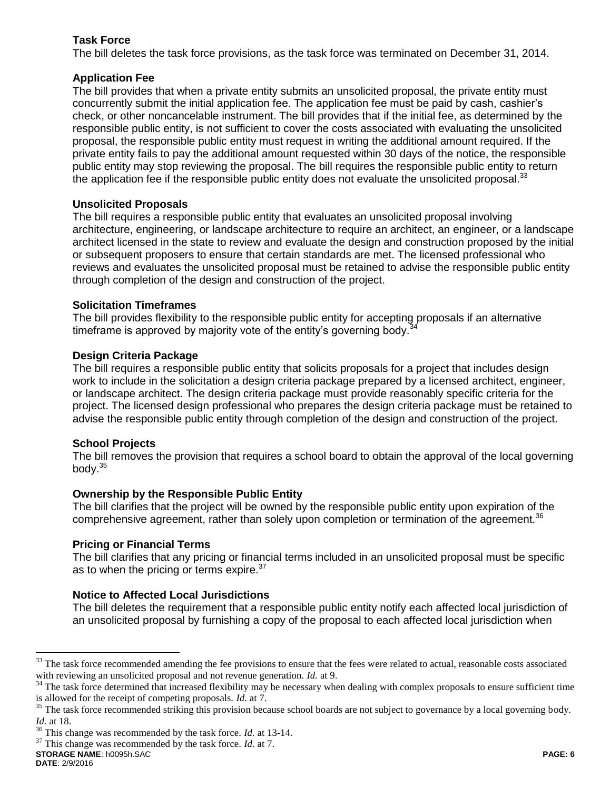### **Task Force**

The bill deletes the task force provisions, as the task force was terminated on December 31, 2014.

### **Application Fee**

The bill provides that when a private entity submits an unsolicited proposal, the private entity must concurrently submit the initial application fee. The application fee must be paid by cash, cashier's check, or other noncancelable instrument. The bill provides that if the initial fee, as determined by the responsible public entity, is not sufficient to cover the costs associated with evaluating the unsolicited proposal, the responsible public entity must request in writing the additional amount required. If the private entity fails to pay the additional amount requested within 30 days of the notice, the responsible public entity may stop reviewing the proposal. The bill requires the responsible public entity to return the application fee if the responsible public entity does not evaluate the unsolicited proposal. $33$ 

### **Unsolicited Proposals**

The bill requires a responsible public entity that evaluates an unsolicited proposal involving architecture, engineering, or landscape architecture to require an architect, an engineer, or a landscape architect licensed in the state to review and evaluate the design and construction proposed by the initial or subsequent proposers to ensure that certain standards are met. The licensed professional who reviews and evaluates the unsolicited proposal must be retained to advise the responsible public entity through completion of the design and construction of the project.

#### **Solicitation Timeframes**

The bill provides flexibility to the responsible public entity for accepting proposals if an alternative timeframe is approved by majority vote of the entity's governing body.<sup>34</sup>

### **Design Criteria Package**

The bill requires a responsible public entity that solicits proposals for a project that includes design work to include in the solicitation a design criteria package prepared by a licensed architect, engineer, or landscape architect. The design criteria package must provide reasonably specific criteria for the project. The licensed design professional who prepares the design criteria package must be retained to advise the responsible public entity through completion of the design and construction of the project.

#### **School Projects**

The bill removes the provision that requires a school board to obtain the approval of the local governing body. $35$ 

#### **Ownership by the Responsible Public Entity**

The bill clarifies that the project will be owned by the responsible public entity upon expiration of the comprehensive agreement, rather than solely upon completion or termination of the agreement.<sup>36</sup>

#### **Pricing or Financial Terms**

The bill clarifies that any pricing or financial terms included in an unsolicited proposal must be specific as to when the pricing or terms expire.<sup>37</sup>

### **Notice to Affected Local Jurisdictions**

The bill deletes the requirement that a responsible public entity notify each affected local jurisdiction of an unsolicited proposal by furnishing a copy of the proposal to each affected local jurisdiction when

<sup>&</sup>lt;sup>33</sup> The task force recommended amending the fee provisions to ensure that the fees were related to actual, reasonable costs associated with reviewing an unsolicited proposal and not revenue generation. *Id.* at 9.

<sup>&</sup>lt;sup>34</sup> The task force determined that increased flexibility may be necessary when dealing with complex proposals to ensure sufficient time is allowed for the receipt of competing proposals. *Id.* at 7.

<sup>&</sup>lt;sup>35</sup> The task force recommended striking this provision because school boards are not subject to governance by a local governing body. *Id.* at 18.

<sup>36</sup> This change was recommended by the task force. *Id.* at 13-14.

<sup>37</sup> This change was recommended by the task force. *Id*. at 7.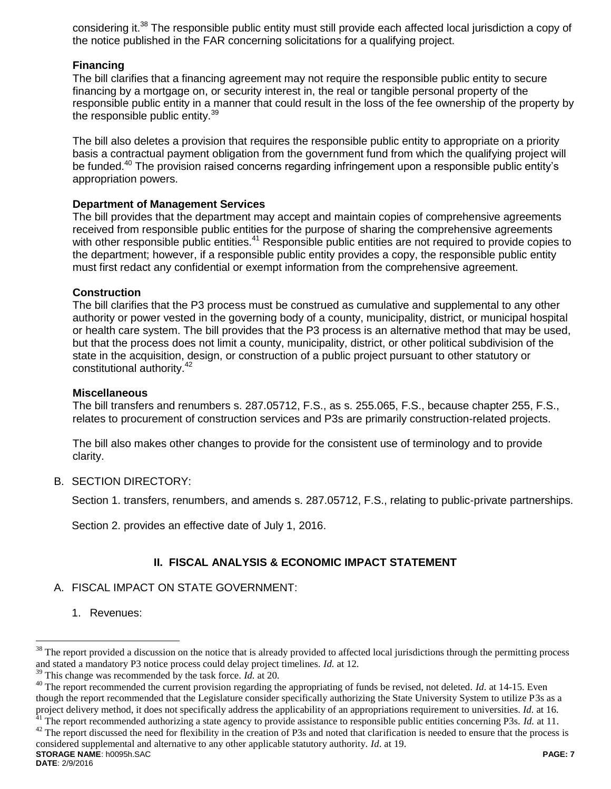considering it.<sup>38</sup> The responsible public entity must still provide each affected local jurisdiction a copy of the notice published in the FAR concerning solicitations for a qualifying project.

### **Financing**

The bill clarifies that a financing agreement may not require the responsible public entity to secure financing by a mortgage on, or security interest in, the real or tangible personal property of the responsible public entity in a manner that could result in the loss of the fee ownership of the property by the responsible public entity.<sup>39</sup>

The bill also deletes a provision that requires the responsible public entity to appropriate on a priority basis a contractual payment obligation from the government fund from which the qualifying project will be funded.<sup>40</sup> The provision raised concerns regarding infringement upon a responsible public entity's appropriation powers.

#### **Department of Management Services**

The bill provides that the department may accept and maintain copies of comprehensive agreements received from responsible public entities for the purpose of sharing the comprehensive agreements with other responsible public entities.<sup>41</sup> Responsible public entities are not required to provide copies to the department; however, if a responsible public entity provides a copy, the responsible public entity must first redact any confidential or exempt information from the comprehensive agreement.

#### **Construction**

The bill clarifies that the P3 process must be construed as cumulative and supplemental to any other authority or power vested in the governing body of a county, municipality, district, or municipal hospital or health care system. The bill provides that the P3 process is an alternative method that may be used, but that the process does not limit a county, municipality, district, or other political subdivision of the state in the acquisition, design, or construction of a public project pursuant to other statutory or constitutional authority.<sup>42</sup>

#### **Miscellaneous**

The bill transfers and renumbers s. 287.05712, F.S., as s. 255.065, F.S., because chapter 255, F.S., relates to procurement of construction services and P3s are primarily construction-related projects.

The bill also makes other changes to provide for the consistent use of terminology and to provide clarity.

#### B. SECTION DIRECTORY:

Section 1. transfers, renumbers, and amends s. 287.05712, F.S., relating to public-private partnerships.

Section 2. provides an effective date of July 1, 2016.

### **II. FISCAL ANALYSIS & ECONOMIC IMPACT STATEMENT**

#### A. FISCAL IMPACT ON STATE GOVERNMENT:

1. Revenues:

**STORAGE NAME**: h0095h.SAC **PAGE: 7**  $42$  The report discussed the need for flexibility in the creation of P3s and noted that clarification is needed to ensure that the process is considered supplemental and alternative to any other applicable statutory authority. *Id*. at 19.

The report provided a discussion on the notice that is already provided to affected local jurisdictions through the permitting process and stated a mandatory P3 notice process could delay project timelines. *Id.* at 12.

<sup>39</sup> This change was recommended by the task force. *Id.* at 20.

<sup>&</sup>lt;sup>40</sup> The report recommended the current provision regarding the appropriating of funds be revised, not deleted. *Id.* at 14-15. Even though the report recommended that the Legislature consider specifically authorizing the State University System to utilize P3s as a project delivery method, it does not specifically address the applicability of an appropriations requirement to universities. *Id.* at 16. <sup>41</sup> The report recommended authorizing a state agency to provide assistance to responsible public entities concerning P3s. *Id.* at 11.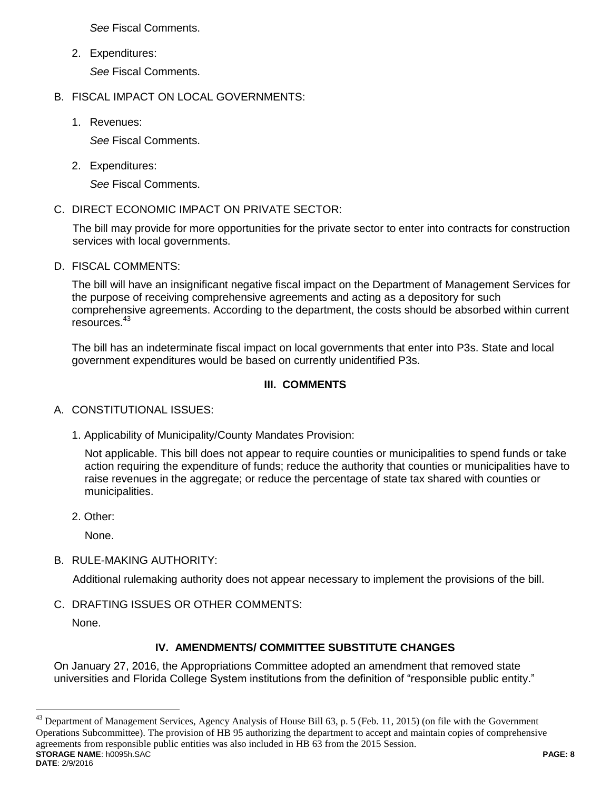*See* Fiscal Comments.

2. Expenditures:

*See* Fiscal Comments.

- B. FISCAL IMPACT ON LOCAL GOVERNMENTS:
	- 1. Revenues:

*See* Fiscal Comments.

2. Expenditures:

*See* Fiscal Comments.

C. DIRECT ECONOMIC IMPACT ON PRIVATE SECTOR:

The bill may provide for more opportunities for the private sector to enter into contracts for construction services with local governments.

D. FISCAL COMMENTS:

The bill will have an insignificant negative fiscal impact on the Department of Management Services for the purpose of receiving comprehensive agreements and acting as a depository for such comprehensive agreements. According to the department, the costs should be absorbed within current resources.<sup>43</sup>

The bill has an indeterminate fiscal impact on local governments that enter into P3s. State and local government expenditures would be based on currently unidentified P3s.

## **III. COMMENTS**

## A. CONSTITUTIONAL ISSUES:

1. Applicability of Municipality/County Mandates Provision:

Not applicable. This bill does not appear to require counties or municipalities to spend funds or take action requiring the expenditure of funds; reduce the authority that counties or municipalities have to raise revenues in the aggregate; or reduce the percentage of state tax shared with counties or municipalities.

2. Other:

None.

B. RULE-MAKING AUTHORITY:

Additional rulemaking authority does not appear necessary to implement the provisions of the bill.

C. DRAFTING ISSUES OR OTHER COMMENTS:

None.

# **IV. AMENDMENTS/ COMMITTEE SUBSTITUTE CHANGES**

On January 27, 2016, the Appropriations Committee adopted an amendment that removed state universities and Florida College System institutions from the definition of "responsible public entity."

**STORAGE NAME**: h0095h.SAC **PAGE: 8 DATE**: 2/9/2016 43 <sup>43</sup> Department of Management Services, Agency Analysis of House Bill 63, p. 5 (Feb. 11, 2015) (on file with the Government Operations Subcommittee). The provision of HB 95 authorizing the department to accept and maintain copies of comprehensive agreements from responsible public entities was also included in HB 63 from the 2015 Session.